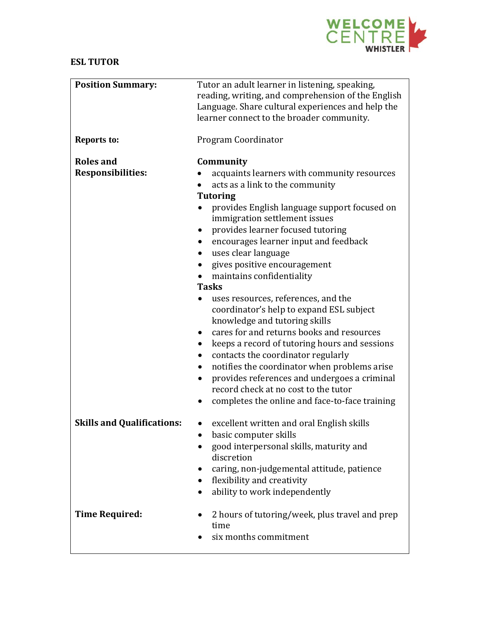

## **ESL TUTOR**

| <b>Position Summary:</b>                     | Tutor an adult learner in listening, speaking,<br>reading, writing, and comprehension of the English<br>Language. Share cultural experiences and help the<br>learner connect to the broader community.                                                                                                                                                                                                                                                                      |
|----------------------------------------------|-----------------------------------------------------------------------------------------------------------------------------------------------------------------------------------------------------------------------------------------------------------------------------------------------------------------------------------------------------------------------------------------------------------------------------------------------------------------------------|
| <b>Reports to:</b>                           | Program Coordinator                                                                                                                                                                                                                                                                                                                                                                                                                                                         |
| <b>Roles and</b><br><b>Responsibilities:</b> | Community<br>acquaints learners with community resources<br>acts as a link to the community<br><b>Tutoring</b><br>provides English language support focused on                                                                                                                                                                                                                                                                                                              |
|                                              | immigration settlement issues<br>provides learner focused tutoring<br>encourages learner input and feedback<br>uses clear language<br>gives positive encouragement<br>maintains confidentiality                                                                                                                                                                                                                                                                             |
|                                              | <b>Tasks</b><br>uses resources, references, and the<br>coordinator's help to expand ESL subject<br>knowledge and tutoring skills<br>cares for and returns books and resources<br>keeps a record of tutoring hours and sessions<br>contacts the coordinator regularly<br>notifies the coordinator when problems arise<br>provides references and undergoes a criminal<br>$\bullet$<br>record check at no cost to the tutor<br>completes the online and face-to-face training |
| <b>Skills and Qualifications:</b>            | excellent written and oral English skills<br>basic computer skills<br>good interpersonal skills, maturity and<br>discretion<br>caring, non-judgemental attitude, patience<br>flexibility and creativity<br>ability to work independently                                                                                                                                                                                                                                    |
| <b>Time Required:</b>                        | 2 hours of tutoring/week, plus travel and prep<br>time<br>six months commitment                                                                                                                                                                                                                                                                                                                                                                                             |